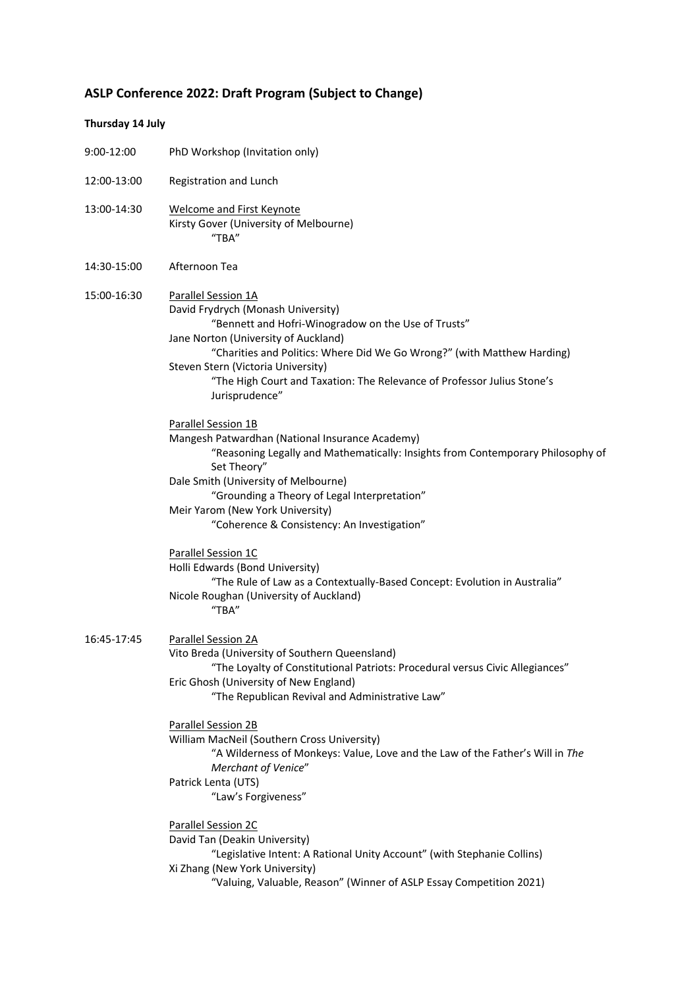## **ASLP Conference 2022: Draft Program (Subject to Change)**

## **Thursday 14 July**

| 9:00-12:00  | PhD Workshop (Invitation only)                                                                                                                                                                                                                                                                                                                                         |  |  |
|-------------|------------------------------------------------------------------------------------------------------------------------------------------------------------------------------------------------------------------------------------------------------------------------------------------------------------------------------------------------------------------------|--|--|
| 12:00-13:00 | Registration and Lunch                                                                                                                                                                                                                                                                                                                                                 |  |  |
| 13:00-14:30 | <b>Welcome and First Keynote</b><br>Kirsty Gover (University of Melbourne)<br>"TBA"                                                                                                                                                                                                                                                                                    |  |  |
| 14:30-15:00 | Afternoon Tea                                                                                                                                                                                                                                                                                                                                                          |  |  |
| 15:00-16:30 | Parallel Session 1A<br>David Frydrych (Monash University)<br>"Bennett and Hofri-Winogradow on the Use of Trusts"<br>Jane Norton (University of Auckland)<br>"Charities and Politics: Where Did We Go Wrong?" (with Matthew Harding)<br>Steven Stern (Victoria University)<br>"The High Court and Taxation: The Relevance of Professor Julius Stone's<br>Jurisprudence" |  |  |
|             | Parallel Session 1B<br>Mangesh Patwardhan (National Insurance Academy)<br>"Reasoning Legally and Mathematically: Insights from Contemporary Philosophy of<br>Set Theory"<br>Dale Smith (University of Melbourne)<br>"Grounding a Theory of Legal Interpretation"<br>Meir Yarom (New York University)<br>"Coherence & Consistency: An Investigation"                    |  |  |
|             | Parallel Session 1C<br>Holli Edwards (Bond University)<br>"The Rule of Law as a Contextually-Based Concept: Evolution in Australia"<br>Nicole Roughan (University of Auckland)<br>"TBA"                                                                                                                                                                                |  |  |
| 16:45-17:45 | Parallel Session 2A<br>Vito Breda (University of Southern Queensland)<br>"The Loyalty of Constitutional Patriots: Procedural versus Civic Allegiances"<br>Eric Ghosh (University of New England)<br>"The Republican Revival and Administrative Law"                                                                                                                    |  |  |
|             | Parallel Session 2B<br>William MacNeil (Southern Cross University)<br>"A Wilderness of Monkeys: Value, Love and the Law of the Father's Will in The<br>Merchant of Venice"                                                                                                                                                                                             |  |  |
|             | Patrick Lenta (UTS)<br>"Law's Forgiveness"                                                                                                                                                                                                                                                                                                                             |  |  |
|             | Parallel Session 2C<br>David Tan (Deakin University)<br>"Legislative Intent: A Rational Unity Account" (with Stephanie Collins)<br>Xi Zhang (New York University)<br>"Valuing, Valuable, Reason" (Winner of ASLP Essay Competition 2021)                                                                                                                               |  |  |